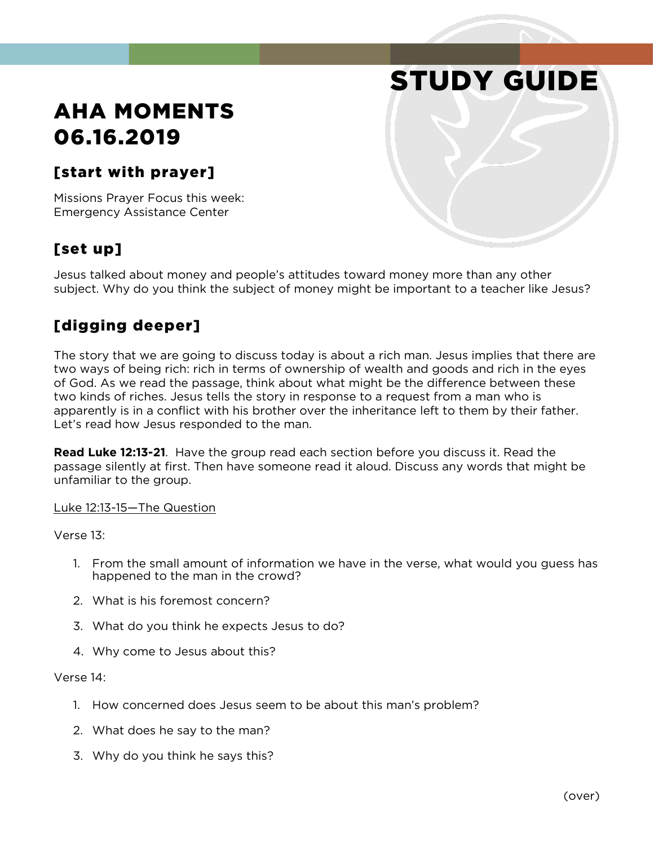# STUDY GUIDE

# AHA MOMENTS 06.16.2019

#### [start with prayer]

Missions Prayer Focus this week: Emergency Assistance Center

## [set up]

Jesus talked about money and people's attitudes toward money more than any other subject. Why do you think the subject of money might be important to a teacher like Jesus?

#### [digging deeper]

The story that we are going to discuss today is about a rich man. Jesus implies that there are two ways of being rich: rich in terms of ownership of wealth and goods and rich in the eyes of God. As we read the passage, think about what might be the difference between these two kinds of riches. Jesus tells the story in response to a request from a man who is apparently is in a conflict with his brother over the inheritance left to them by their father. Let's read how Jesus responded to the man.

**Read Luke 12:13-21**. Have the group read each section before you discuss it. Read the passage silently at first. Then have someone read it aloud. Discuss any words that might be unfamiliar to the group.

Luke 12:13-15—The Question

Verse 13:

- 1. From the small amount of information we have in the verse, what would you guess has happened to the man in the crowd?
- 2. What is his foremost concern?
- 3. What do you think he expects Jesus to do?
- 4. Why come to Jesus about this?

Verse 14:

- 1. How concerned does Jesus seem to be about this man's problem?
- 2. What does he say to the man?
- 3. Why do you think he says this?